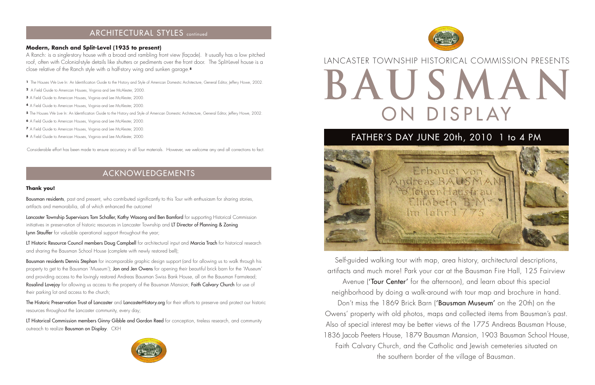Self-guided walking tour with map, area history, architectural descriptions, artifacts and much more! Park your car at the Bausman Fire Hall, 125 Fairview Avenue ('Tour Center' for the afternoon), and learn about this special neighborhood by doing a walk-around with tour map and brochure in hand. Don't miss the 1869 Brick Barn ('Bausman Museum' on the 20th) on the Owens' property with old photos, maps and collected items from Bausman's past. Also of special interest may be better views of the 1775 Andreas Bausman House, 1836 Jacob Peeters House, 1879 Bausman Mansion, 1903 Bausman School House, Faith Calvary Church, and the Catholic and Jewish cemeteries situated on the southern border of the village of Bausman.



# **BAUSMAN** ON DISPLAY LANCASTER TOWNSHIP HISTORICAL COMMISSION PRESENTS

# **8** A Field Guide to American Houses, Virginia and Lee McAlester, 2000. **FATHER'S DAY JUNE 20th, 2010 1 to 4 PM**



Bausman residents, past and present, who contributed significantly to this Tour with enthusiasm for sharing stories, artifacts and memorabilia, all of which enhanced the outcome!

Lancaster Township Supervisors Tom Schaller, Kathy Wasong and Ben Bamford for supporting Historical Commission initiatives in preservation of historic resources in Lancaster Township and LT Director of Planning & Zoning Lynn Stauffer for valuable operational support throughout the year;

LT Historic Resource Council members Doug Campbell for architectural input and Marcia Trach for historical research and sharing the Bausman School House (complete with newly restored bell);

### **Thank you!**

Bausman residents Dennis Stephan for incomparable graphic design support (and for allowing us to walk through his property to get to the Bausman 'Museum'); Jon and Jen Owens for opening their beautiful brick barn for the 'Museum' and providing access to the lovingly restored Andreas Bausman Swiss Bank House, all on the Bausman Farmstead; Rosalind Lovejoy for allowing us access to the property of the Bausman Mansion; Faith Calvary Church for use of their parking lot and access to the church;

The Historic Preservation Trust of Lancaster and LancasterHistory.org for their efforts to preserve and protect our historic resources throughout the Lancaster community, every day;

LT Historical Commission members Ginny Gibble and Gordon Reed for conception, tireless research, and community outreach to realize **Bausman on Display**. CKH



# ACKNOWLEDGEMENTS

## ARCHITECTURAL STYLES continued

### **Modern, Ranch and Split-Level (1935 to present)**

A Ranch: is a single-story house with a broad and rambling front view (façade). It usually has a low pitched roof, often with Colonial-style details like shutters or pediments over the front door. The Split-Level house is a close relative of the Ranch style with a half-story wing and sunken garage.**<sup>8</sup>**

Considerable effort has been made to ensure accuracy in all Tour materials. However, we welcome any and all corrections to fact.

**<sup>1</sup>** The Houses We Live In: An Identification Guide to the History and Style of American Domestic Architecture, General Editor, Jeffery Howe, 2002.

- **<sup>2</sup>** A Field Guide to American Houses, Virginia and Lee McAlester, 2000.
- **<sup>3</sup>** A Field Guide to American Houses, Virginia and Lee McAlester, 2000.
- **<sup>4</sup>** A Field Guide to American Houses, Virginia and Lee McAlester, 2000.
- 5 The Houses We Live In: An Identification Guide to the History and Style of American Domestic Architecture, General Editor, Jeffery Howe, 2002.
- **<sup>6</sup>** A Field Guide to American Houses, Virginia and Lee McAlester, 2000.
- **<sup>7</sup>** A Field Guide to American Houses, Virginia and Lee McAlester, 2000.
-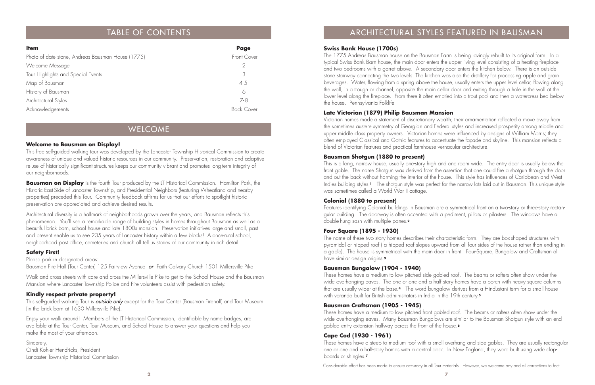| <b>Item</b>                                       | Page              |
|---------------------------------------------------|-------------------|
| Photo of date stone, Andreas Bausman House (1775) | Front Cover       |
| Welcome Message                                   | 2                 |
| Tour Highlights and Special Events                | 3                 |
| Map of Bausman                                    | $4 - 5$           |
| History of Bausman                                | 6                 |
| Architectural Styles                              | $7 - 8$           |
| Acknowledgements                                  | <b>Back Cover</b> |

### WELCOME

### **Welcome to Bausman on Display!**

This free self-guided walking tour was developed by the Lancaster Township Historical Commission to create awareness of unique and valued historic resources in our community. Preservation, restoration and adaptive re-use of historically significant structures keeps our community vibrant and promotes long-term integrity of our neighborhoods.

**Bausman on Display** is the fourth Tour produced by the LT Historical Commission. Hamilton Park, the Historic East-Side of Lancaster Township, and Presidential Neighbors (featuring Wheatland and nearby properties) preceded this Tour. Community feedback affirms for us that our efforts to spotlight historic preservation are appreciated and achieve desired results.

This self-guided walking Tour is **outside only** except for the Tour Center (Bausman Firehall) and Tour Museum (in the brick barn at 1630 Millersville Pike).

Architectural diversity is a hallmark of neighborhoods grown over the years, and Bausman reflects this <sup>p</sup>henomenon. You'll see a remarkable range of building styles in homes throughout Bausman as well as a beautiful brick barn, school house and late 1800s mansion. Preservation initiatives large and small, past and present enable us to see 235 years of Lancaster history within a few blocks! A once-rural school, neighborhood post office, cemeteries and church all tell us stories of our community in rich detail.

### **Safety First!**

### Please park in designated areas:

Bausman Fire Hall (Tour Center) 125 Fairview Avenue or Faith Calvary Church 1501 Millersville Pike

Walk and cross streets with care and cross the Millersville Pike to get to the School House and the Bausman Mansion where Lancaster Township Police and Fire volunteers assist with pedestrian safety.

### **Kindly respect private property!**

This is a long, narrow house, usually one-story high and one room wide. The entry door is usually below the front gable. The name Shotgun was derived from the assertion that one could fire a shotgun through the door and out the back without harming the interior of the house. This style has influences of Caribbean and West Indies building styles.**<sup>1</sup>** The shotgun style was perfect for the narrow lots laid out in Bausman. This unique style was sometimes called a World War II cottage.

Enjoy your walk around! Members of the LT Historical Commission, identifiable by name badges, are available at the Tour Center, Tour Museum, and School House to answer your questions and help you make the most of your afternoon.

Sincerely, Cindi Kohler Hendricks, President Lancaster Township Historical Commission

# TABLE OF CONTENTS TABLE OF CONTENTS AND TABLE OF CONTENTS ARCHITECTURAL STYLES FEATURED IN BAUSMAN

### **Swiss Bank House (1700s)**

The 1775 Andreas Bausman house on the Bausman Farm is being lovingly rebuilt to its original form. In a typical Swiss Bank Barn house, the main door enters the upper living level consisting of a heating fireplace and two bedrooms with a garret above. A secondary door enters the kitchen below. There is an outside stone stairway connecting the two levels. The kitchen was also the distillery for processing apple and grain beverages. Water, flowing from a spring above the house, usually enters the upper level cellar, flowing along the wall, in a trough or channel, opposite the main cellar door and exiting through a hole in the wall at the lower level along the fireplace. From there it often emptied into a trout pool and then a watercress bed below the house. Pennsylvania Folklife

### **Late Victorian (1879) Philip Bausman Mansion**

Victorian homes made a statement of discretionary wealth; their ornamentation reflected a move away from the sometimes austere symmetry of Georgian and Federal styles and increased prosperity among middle and upper middle class property owners. Victorian homes were influenced by designs of William Morris; they often employed Classical and Gothic features to accentuate the façade and skyline. This mansion reflects a blend of Victorian features and practical farmhouse vernacular architecture.

### **Bausman Shotgun (1880 to present)**

### **Colonial (1880 to present)**

Features identifying Colonial buildings in Bausman are a symmetrical front on a two-story or three-story rectangular building. The doorway is often accented with a pediment, pillars or pilasters. The windows have a double-hung sash with multiple panes.**<sup>2</sup>**

### **Four Square (1895 - 1930)**

The name of these two story homes describes their characteristic form. They are box-shaped structures with pyramidal or hipped roof ( a hipped roof slopes upward from all four sides of the house rather than ending in a gable). The house is symmetrical with the main door in front. Four-Square, Bungalow and Craftsman all have similar design origins.**<sup>3</sup>**

### **Bausman Bungalow (1904 - 1940)**

These homes have a medium to low pitched side gabled roof. The beams or rafters often show under the wide overhanging eaves. The one or one and a half story homes have a porch with heavy square columns that are usually wider at the base.**<sup>4</sup>** The word bungalow derives from a Hindustani term for a small house with veranda built for British administrators in India in the 19th century.**<sup>5</sup>**

### **Bausman Craftsman (1905 - 1945)**

These homes have a medium to low pitched front gabled roof. The beams or rafters often show under the wide overhanging eaves. Many Bausman Bungalows are similar to the Bausman Shotgun style with an endgabled entry extension halfway across the front of the house.**<sup>6</sup>**

### **Cape Cod (1930 - 1961)**

These homes have a steep to medium roof with a small overhang and side gables. They are usually rectangular one or one and a half-story homes with a central door. In New England, they were built using wide clapboards or shingles.**<sup>7</sup>**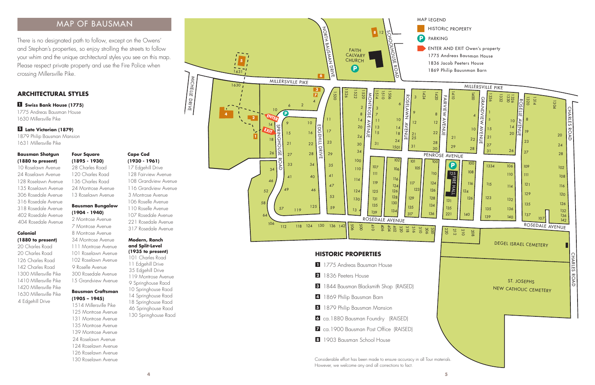MICHEL

LE DRIVE

### **Bausman Shotgun (1880 to present)**

10 Roselawn Avenue 24 Roselawn Avenue 128 Roselawn Avenue 135 Roselawn Avenue 306 Rosedale Avenue 316 Rosedale Avenue 318 Rosedale Avenue 402 Rosedale Avenue 404 Rosedale Avenue

### **Colonial (1880 to present)**

17 Edgehill Drive 128 Fairview Avenue 108 Grandview Avenue 116 Grandview Avenue 3 Montrose Avenue 106 Roselle Avenue 110 Roselle Avenue 107 Rosedale Avenue 221 Rosedale Avenue 317 Rosedale Avenue

20 Charles Road 20 Charles Road 126 Charles Road 142 Charles Road 1300 Millersville Pike 1410 Millersville Pike 1420 Millersville Pike 1630 Millersville Pike 4 Edgehill Drive

### **Modern, Ranch and Split-Level (1935 to present)**



- 
- 
- 
- 
- 
- 
- 
- 

101 Charles Road 11 Edgehill Drive 35 Edgehill Drive 119 Montrose Avenue 9 Springhouse Raod 10 Springhouse Raod 14 Springhouse Raod 18 Springhouse Raod 46 Springhouse Raod 130 Springhouse Raod

■ **Swiss Bank House (1775) 1** 1775 Andreas Bausman House 1630 Millersville Pike

1879 Philip Bausman Mansion 1631 Millersville Pike

### ■ **Late Victorian (1879) 5**

There is no designated path to follow, except on the Owens' and Stephan's properties, so enjoy strolling the streets to follow your whim and the unique architectural styles you see on this map. Please respect private property and use the Fire Police when crossing Millersville Pike.

### **Four Square (1895 - 1930)**

28 Charles Road 120 Charles Road 136 Charles Road 24 Montrose Avenue 13 Roselawn Avenue

### **ARCHITECTURAL STYLES**

### **Bausman Craftsman (1905 – 1945)**

1514 Millersville Pike 125 Montrose Avenue 131 Montrose Avenue 135 Montrose Avenue 139 Montrose Avenue 24 Roselawn Avenue 124 Roselawn Avenue 126 Roselawn Avenue 130 Roselawn Avenue

### **Cape Cod (1930 - 1961)**

### **Bausman Bungalow (1904 - 1940)**

2 Montrose Avenue 7 Montrose Avenue 8 Montrose Avenue 34 Montrose Avenue 111 Montrose Avenue 101 Roselawn Avenue 102 Roselawn Avenue 9 Roselle Avenue 300 Rosedale Avenue 15 Grandview Avenue

# MAP OF BAUSMAN

- 
- 
-